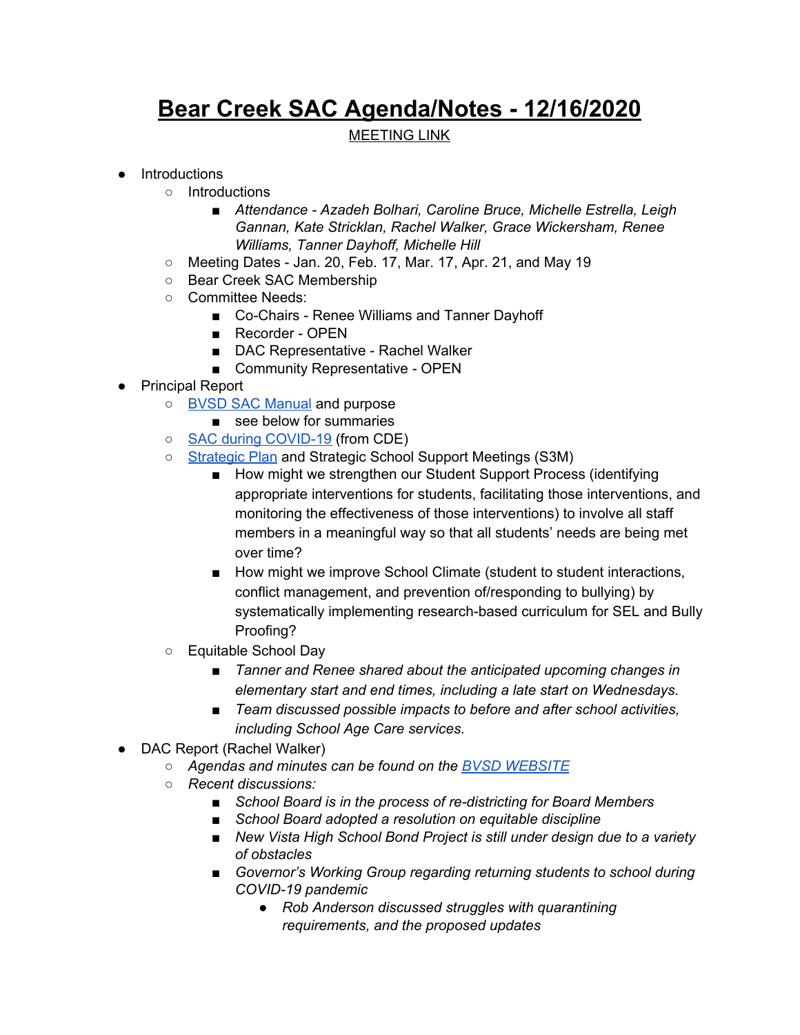## **Bear Creek SAC Agenda/Notes - 12/16/2020**

## MEETING LINK

## ● Introductions

- Introductions
	- *■ Attendance - Azadeh Bolhari, Caroline Bruce, Michelle Estrella, Leigh Gannan, Kate Stricklan, Rachel Walker, Grace Wickersham, Renee Williams, Tanner Dayhoff, Michelle Hill*
- Meeting Dates Jan. 20, Feb. 17, Mar. 17, Apr. 21, and May 19
- Bear Creek SAC Membership
- Committee Needs:
	- Co-Chairs Renee Williams and Tanner Dayhoff
	- Recorder OPEN
	- DAC Representative Rachel Walker
	- Community Representative OPEN
- Principal Report
	- BVSD SAC [Manual](https://resources.finalsite.net/images/v1587479073/bvsdorg/indglf45rw5d9a0y8r0w/SchoolAccountabilityCommitteManual2019.pdf) and purpose
		- see below for summaries
	- SAC during [COVID-19](https://resources.finalsite.net/images/v1599178727/bvsdorg/oet6gfoiqmmcpgqvk1ez/Sept2020SACduringCOVID19.pdf) (from CDE)
	- [Strategic](https://www.bvsd.org/about/strategic-plan) Plan and Strategic School Support Meetings (S3M)
		- How might we strengthen our Student Support Process (identifying appropriate interventions for students, facilitating those interventions, and monitoring the effectiveness of those interventions) to involve all staff members in a meaningful way so that all students' needs are being met over time?
		- How might we improve School Climate (student to student interactions, conflict management, and prevention of/responding to bullying) by systematically implementing research-based curriculum for SEL and Bully Proofing?
	- Equitable School Day
		- *■ Tanner and Renee shared about the anticipated upcoming changes in elementary start and end times, including a late start on Wednesdays.*
		- *■ Team discussed possible impacts to before and after school activities, including School Age Care services.*
- DAC Report (Rachel Walker)
	- *○ Agendas and minutes can be found on the BVSD [WEBSITE](https://www.bvsd.org/about/district-accountability-committee)*
	- *○ Recent discussions:*
		- *■ School Board is in the process of re-districting for Board Members*
		- *■ School Board adopted a resolution on equitable discipline*
		- *■ New Vista High School Bond Project is still under design due to a variety of obstacles*
		- *■ Governor's Working Group regarding returning students to school during COVID-19 pandemic*
			- *● Rob Anderson discussed struggles with quarantining requirements, and the proposed updates*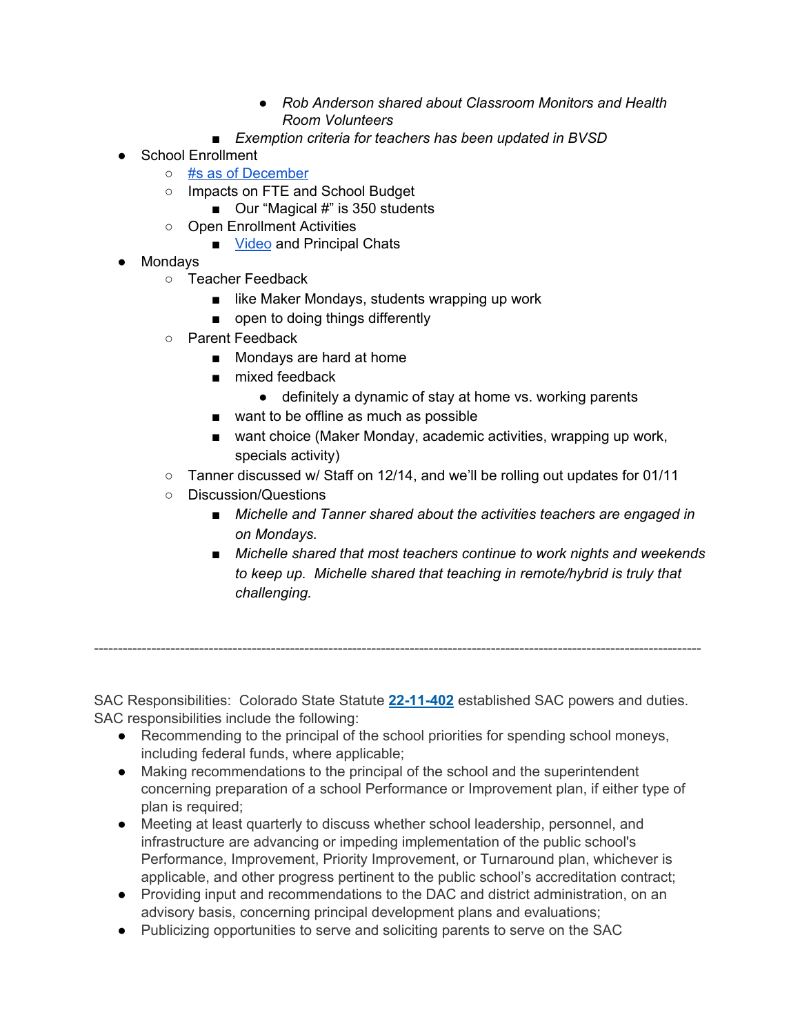- *● Rob Anderson shared about Classroom Monitors and Health Room Volunteers*
- *■ Exemption criteria for teachers has been updated in BVSD*
- School Enrollment
	- #s as of [December](https://resources.finalsite.net/images/v1606859780/bvsdorg/rwcgeaioyroovndyfpr7/Count12-01-2020.pdf)
	- Impacts on FTE and School Budget
		- Our "Magical #" is 350 students
	- Open Enrollment Activities
		- [Video](https://drive.google.com/file/d/1xRORjtInBXFveRa_OgBUY124LFXzzZY0/view?usp=sharing) and Principal Chats
- Mondays
	- Teacher Feedback
		- like Maker Mondays, students wrapping up work
		- open to doing things differently
	- Parent Feedback
		- Mondays are hard at home
		- mixed feedback
			- definitely a dynamic of stay at home vs. working parents
		- want to be offline as much as possible
		- want choice (Maker Monday, academic activities, wrapping up work, specials activity)
	- Tanner discussed w/ Staff on 12/14, and we'll be rolling out updates for 01/11
	- Discussion/Questions
		- *■ Michelle and Tanner shared about the activities teachers are engaged in on Mondays.*
		- *■ Michelle shared that most teachers continue to work nights and weekends to keep up. Michelle shared that teaching in remote/hybrid is truly that challenging.*

SAC Responsibilities: Colorado State Statute **[22-11-402](http://www.lpdirect.net/casb/crs/22-11-402.html)** established SAC powers and duties. SAC responsibilities include the following:

-------------------------------------------------------------------------------------------------------------------------------

- Recommending to the principal of the school priorities for spending school moneys, including federal funds, where applicable;
- Making recommendations to the principal of the school and the superintendent concerning preparation of a school Performance or Improvement plan, if either type of plan is required;
- Meeting at least quarterly to discuss whether school leadership, personnel, and infrastructure are advancing or impeding implementation of the public school's Performance, Improvement, Priority Improvement, or Turnaround plan, whichever is applicable, and other progress pertinent to the public school's accreditation contract;
- Providing input and recommendations to the DAC and district administration, on an advisory basis, concerning principal development plans and evaluations;
- Publicizing opportunities to serve and soliciting parents to serve on the SAC